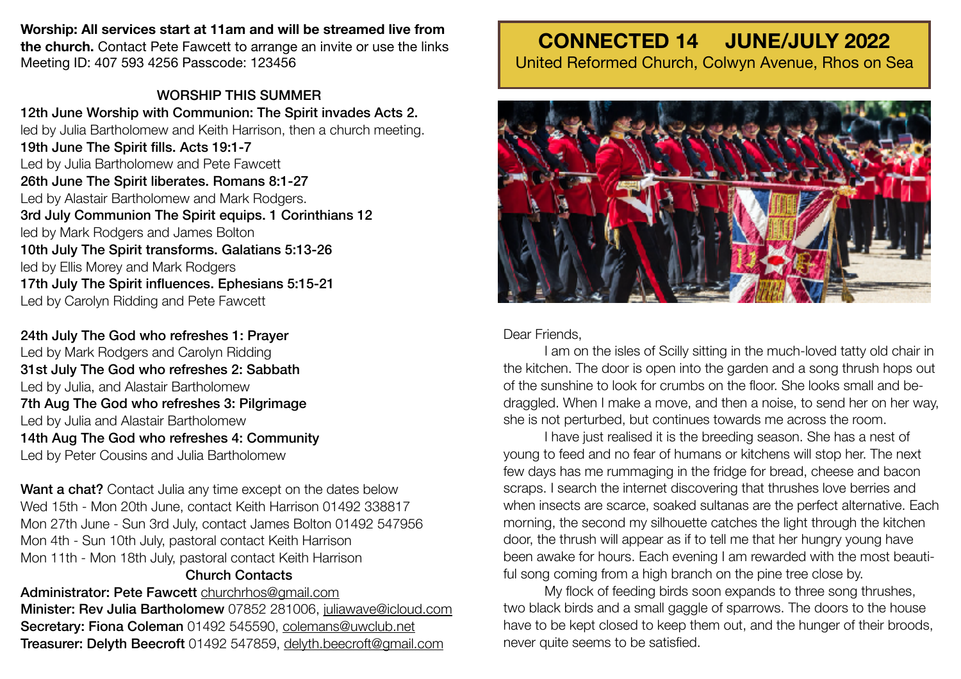## **Worship: All services start at 11am and will be streamed live from**

**the church.** Contact Pete Fawcett to arrange an invite or use the links Meeting ID: 407 593 4256 Passcode: 123456

# WORSHIP THIS SUMMER

12th June Worship with Communion: The Spirit invades Acts 2. led by Julia Bartholomew and Keith Harrison, then a church meeting. 19th June The Spirit fills. Acts 19:1-7 Led by Julia Bartholomew and Pete Fawcett 26th June The Spirit liberates. Romans 8:1-27 Led by Alastair Bartholomew and Mark Rodgers. 3rd July Communion The Spirit equips. 1 Corinthians 12 led by Mark Rodgers and James Bolton 10th July The Spirit transforms. Galatians 5:13-26 led by Ellis Morey and Mark Rodgers 17th July The Spirit influences. Ephesians 5:15-21 Led by Carolyn Ridding and Pete Fawcett

24th July The God who refreshes 1: Prayer Led by Mark Rodgers and Carolyn Ridding 31st July The God who refreshes 2: Sabbath Led by Julia, and Alastair Bartholomew 7th Aug The God who refreshes 3: Pilgrimage Led by Julia and Alastair Bartholomew 14th Aug The God who refreshes 4: Community Led by Peter Cousins and Julia Bartholomew

Want a chat? Contact Julia any time except on the dates below Wed 15th - Mon 20th June, contact Keith Harrison 01492 338817 Mon 27th June - Sun 3rd July, contact James Bolton 01492 547956 Mon 4th - Sun 10th July, pastoral contact Keith Harrison Mon 11th - Mon 18th July, pastoral contact Keith Harrison Church Contacts

Administrator: Pete Fawcett [churchrhos@gmail.com](mailto:churchrhos@gmail.com) Minister: Rev Julia Bartholomew 07852 281006, [juliawave@icloud.com](mailto:juliawave@icloud.com) Secretary: Fiona Coleman 01492 545590, [colemans@uwclub.net](mailto:colemans@uwclub.net) Treasurer: Delyth Beecroft 01492 547859, [delyth.beecroft@gmail.com](mailto:delyth.beecroft@gmail.com)

# **CONNECTED 14 JUNE/JULY 2022**

United Reformed Church, Colwyn Avenue, Rhos on Sea



## Dear Friends,

I am on the isles of Scilly sitting in the much-loved tatty old chair in the kitchen. The door is open into the garden and a song thrush hops out of the sunshine to look for crumbs on the floor. She looks small and bedraggled. When I make a move, and then a noise, to send her on her way, she is not perturbed, but continues towards me across the room.

I have just realised it is the breeding season. She has a nest of young to feed and no fear of humans or kitchens will stop her. The next few days has me rummaging in the fridge for bread, cheese and bacon scraps. I search the internet discovering that thrushes love berries and when insects are scarce, soaked sultanas are the perfect alternative. Each morning, the second my silhouette catches the light through the kitchen door, the thrush will appear as if to tell me that her hungry young have been awake for hours. Each evening I am rewarded with the most beautiful song coming from a high branch on the pine tree close by.

My flock of feeding birds soon expands to three song thrushes, two black birds and a small gaggle of sparrows. The doors to the house have to be kept closed to keep them out, and the hunger of their broods, never quite seems to be satisfied.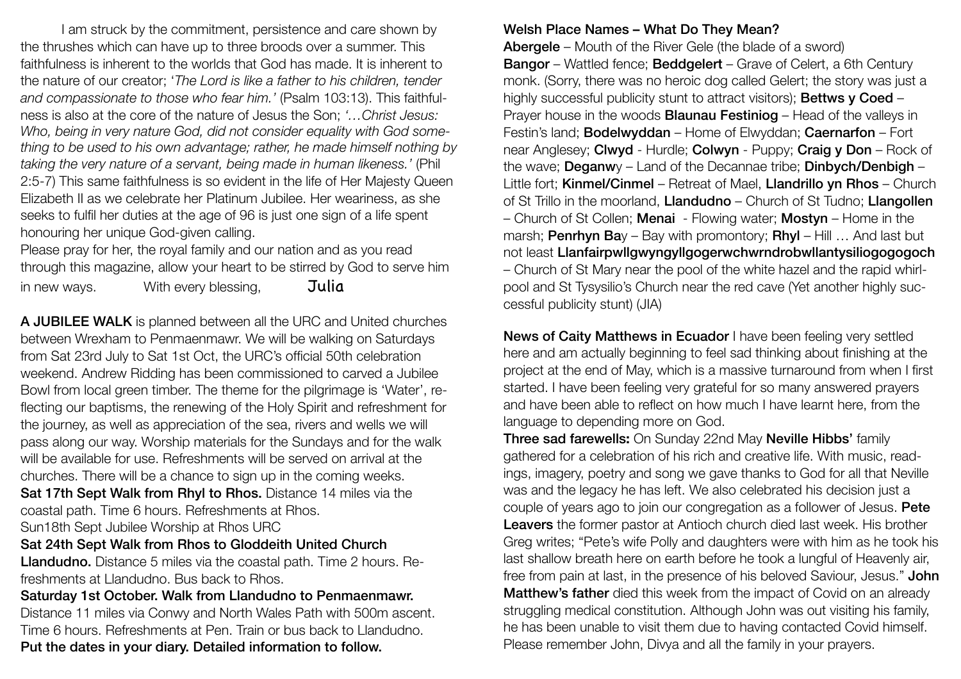I am struck by the commitment, persistence and care shown by the thrushes which can have up to three broods over a summer. This faithfulness is inherent to the worlds that God has made. It is inherent to the nature of our creator; '*The Lord is like a father to his children, tender and compassionate to those who fear him.'* (Psalm 103:13). This faithfulness is also at the core of the nature of Jesus the Son; *'…Christ Jesus: Who, being in very nature God, did not consider equality with God something to be used to his own advantage; rather, he made himself nothing by taking the very nature of a servant, being made in human likeness.'* (Phil 2:5-7) This same faithfulness is so evident in the life of Her Majesty Queen Elizabeth II as we celebrate her Platinum Jubilee. Her weariness, as she seeks to fulfil her duties at the age of 96 is just one sign of a life spent honouring her unique God-given calling.

Please pray for her, the royal family and our nation and as you read through this magazine, allow your heart to be stirred by God to serve him in new ways.  $W$ ith every blessing,  $Julia$ 

A JUBILEE WALK is planned between all the URC and United churches between Wrexham to Penmaenmawr. We will be walking on Saturdays from Sat 23rd July to Sat 1st Oct, the URC's official 50th celebration weekend. Andrew Ridding has been commissioned to carved a Jubilee Bowl from local green timber. The theme for the pilgrimage is 'Water', reflecting our baptisms, the renewing of the Holy Spirit and refreshment for the journey, as well as appreciation of the sea, rivers and wells we will pass along our way. Worship materials for the Sundays and for the walk will be available for use. Refreshments will be served on arrival at the churches. There will be a chance to sign up in the coming weeks. Sat 17th Sept Walk from Rhyl to Rhos. Distance 14 miles via the coastal path. Time 6 hours. Refreshments at Rhos. Sun18th Sept Jubilee Worship at Rhos URC

#### Sat 24th Sept Walk from Rhos to Gloddeith United Church

Llandudno. Distance 5 miles via the coastal path. Time 2 hours. Refreshments at Llandudno. Bus back to Rhos.

Saturday 1st October. Walk from Llandudno to Penmaenmawr. Distance 11 miles via Conwy and North Wales Path with 500m ascent. Time 6 hours. Refreshments at Pen. Train or bus back to Llandudno.

## Put the dates in your diary. Detailed information to follow.

# Welsh Place Names – What Do They Mean?

Abergele – Mouth of the River Gele (the blade of a sword) Bangor – Wattled fence; Beddgelert – Grave of Celert, a 6th Century monk. (Sorry, there was no heroic dog called Gelert; the story was just a highly successful publicity stunt to attract visitors): **Bettws v Coed -**Prayer house in the woods **Blaunau Festiniog** – Head of the valleys in Festin's land; Bodelwyddan – Home of Elwyddan; Caernarfon – Fort near Anglesey; Clwyd - Hurdle; Colwyn - Puppy; Craig y Don – Rock of the wave; Deganwy – Land of the Decannae tribe; Dinbych/Denbigh – Little fort; Kinmel/Cinmel – Retreat of Mael, Llandrillo yn Rhos – Church of St Trillo in the moorland, Llandudno – Church of St Tudno; Llangollen – Church of St Collen; Menai - Flowing water; Mostyn – Home in the marsh; **Penrhyn Ba**y – Bay with promontory; **Rhyl** – Hill ... And last but not least Llanfairpwllgwyngyllgogerwchwrndrobwllantysiliogogogoch – Church of St Mary near the pool of the white hazel and the rapid whirlpool and St Tysysilio's Church near the red cave (Yet another highly successful publicity stunt) (JIA)

News of Caity Matthews in Ecuador I have been feeling very settled here and am actually beginning to feel sad thinking about finishing at the project at the end of May, which is a massive turnaround from when I first started. I have been feeling very grateful for so many answered prayers and have been able to reflect on how much I have learnt here, from the language to depending more on God.

Three sad farewells**:** On Sunday 22nd May Neville Hibbs' family gathered for a celebration of his rich and creative life. With music, readings, imagery, poetry and song we gave thanks to God for all that Neville was and the legacy he has left. We also celebrated his decision just a couple of years ago to join our congregation as a follower of Jesus. Pete Leavers the former pastor at Antioch church died last week. His brother Greg writes; "Pete's wife Polly and daughters were with him as he took his last shallow breath here on earth before he took a lungful of Heavenly air, free from pain at last, in the presence of his beloved Saviour, Jesus." John Matthew's father died this week from the impact of Covid on an already struggling medical constitution. Although John was out visiting his family, he has been unable to visit them due to having contacted Covid himself. Please remember John, Divya and all the family in your prayers.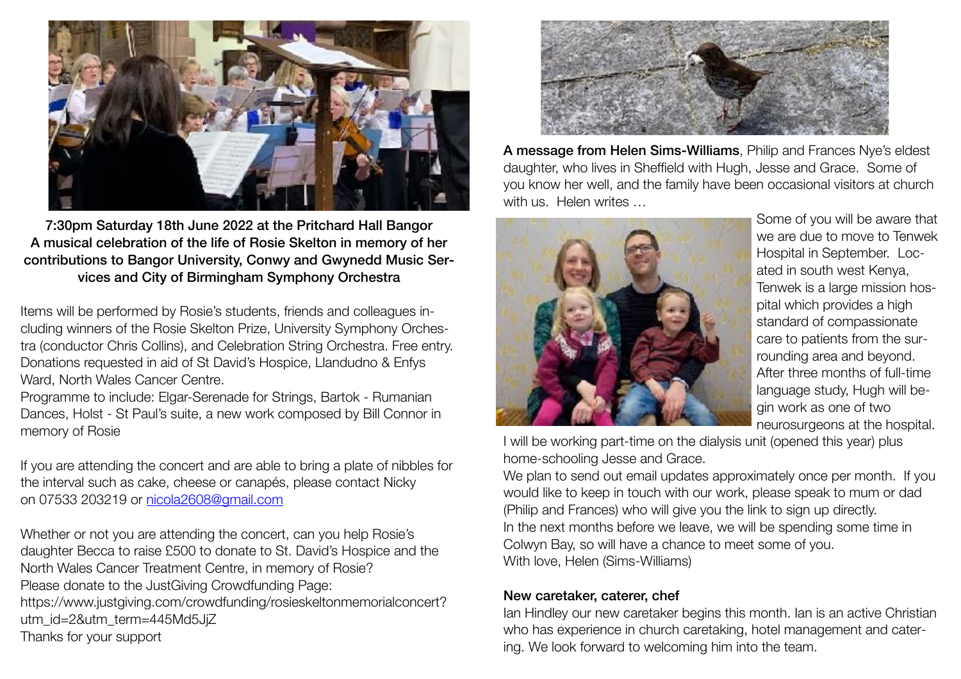

7:30pm Saturday 18th June 2022 at the Pritchard Hall Bangor A musical celebration of the life of Rosie Skelton in memory of her contributions to Bangor University, Conwy and Gwynedd Music Services and City of Birmingham Symphony Orchestra

Items will be performed by Rosie's students, friends and colleagues including winners of the Rosie Skelton Prize, University Symphony Orchestra (conductor Chris Collins), and Celebration String Orchestra. Free entry. Donations requested in aid of St David's Hospice, Llandudno & Enfys Ward, North Wales Cancer Centre.

Programme to include: Elgar-Serenade for Strings, Bartok - Rumanian Dances, Holst - St Paul's suite, a new work composed by Bill Connor in memory of Rosie

If you are attending the concert and are able to bring a plate of nibbles for the interval such as cake, cheese or canapés, please contact Nicky on 07533 203219 or [nicola2608@gmail.com](mailto:nicola2608@gmail.com)

Whether or not you are attending the concert, can you help Rosie's daughter Becca to raise £500 to donate to St. David's Hospice and the North Wales Cancer Treatment Centre, in memory of Rosie? Please donate to the JustGiving Crowdfunding Page: https://www.justgiving.com/crowdfunding/rosieskeltonmemorialconcert? utm\_id=2&utm\_term=445Md5JjZ Thanks for your support



A message from Helen Sims-Williams, Philip and Frances Nye's eldest daughter, who lives in Sheffield with Hugh, Jesse and Grace. Some of you know her well, and the family have been occasional visitors at church with us. Helen writes ...



Some of you will be aware that we are due to move to Tenwek Hospital in September. Located in south west Kenya, Tenwek is a large mission hospital which provides a high standard of compassionate care to patients from the surrounding area and beyond. After three months of full-time language study, Hugh will begin work as one of two neurosurgeons at the hospital.

I will be working part-time on the dialysis unit (opened this year) plus home-schooling Jesse and Grace.

We plan to send out email updates approximately once per month. If you would like to keep in touch with our work, please speak to mum or dad (Philip and Frances) who will give you the link to sign up directly. In the next months before we leave, we will be spending some time in Colwyn Bay, so will have a chance to meet some of you. With love, Helen (Sims-Williams)

### New caretaker, caterer, chef

Ian Hindley our new caretaker begins this month. Ian is an active Christian who has experience in church caretaking, hotel management and catering. We look forward to welcoming him into the team.